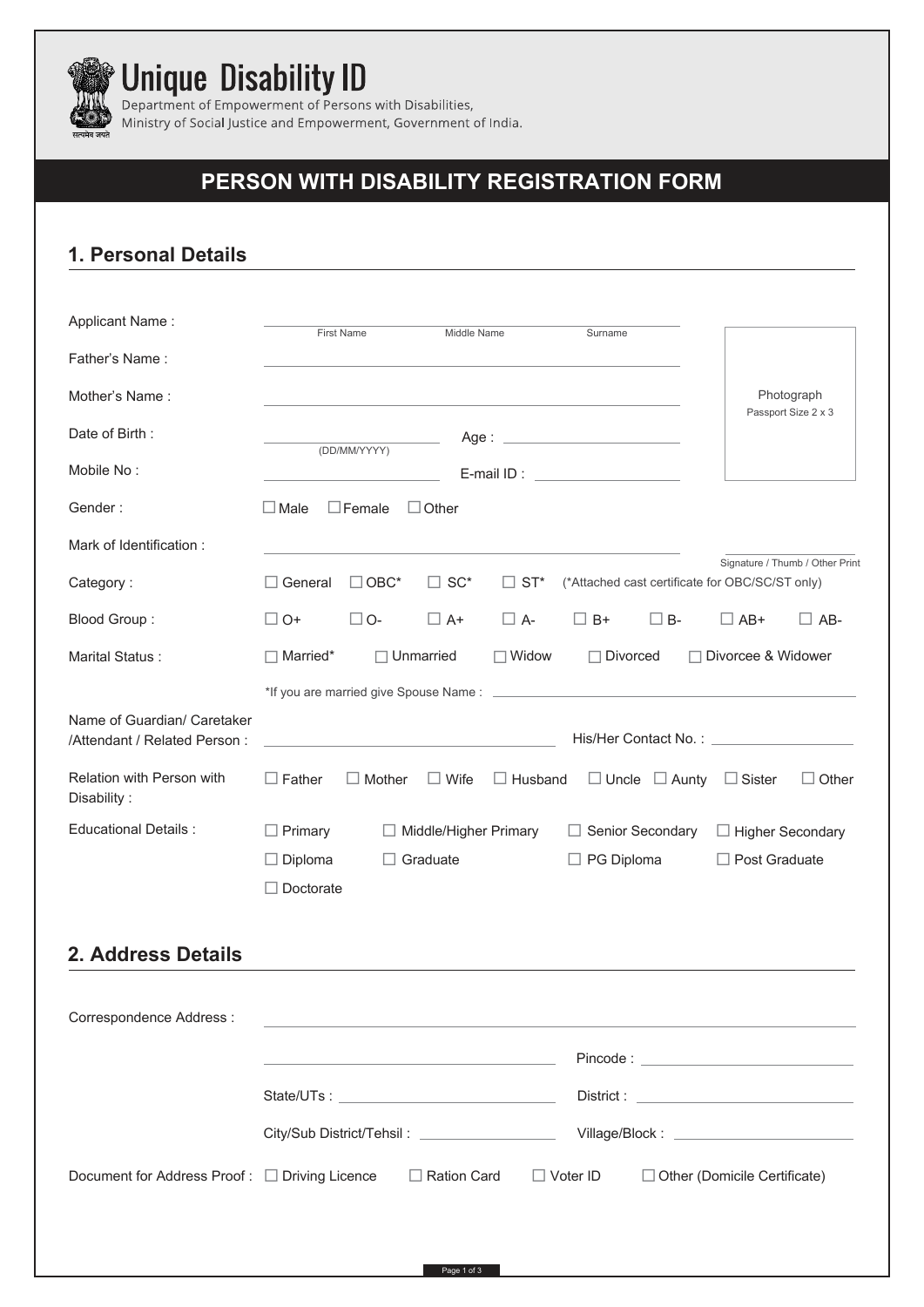

Unique Disability ID<br>Department of Empowerment of Persons with Disabilities,<br>Ministry of Social Justice and Empowerment, Government of India.

## **PERSON WITH DISABILITY REGISTRATION FORM**

## **1. Personal Details**

| <b>Applicant Name:</b>                                      |                  | <b>First Name</b>                                          | Middle Name                  |                | Surname                       |                           |                                                 |                                   |
|-------------------------------------------------------------|------------------|------------------------------------------------------------|------------------------------|----------------|-------------------------------|---------------------------|-------------------------------------------------|-----------------------------------|
| Father's Name:                                              |                  |                                                            |                              |                |                               |                           |                                                 |                                   |
| Mother's Name:                                              |                  |                                                            |                              |                |                               |                           |                                                 | Photograph<br>Passport Size 2 x 3 |
| Date of Birth:                                              |                  | (DD/MM/YYYY)                                               |                              |                |                               |                           |                                                 |                                   |
| Mobile No:                                                  |                  |                                                            |                              |                | $E$ -mail ID: $\qquad \qquad$ |                           |                                                 |                                   |
| Gender:                                                     | $\Box$ Male      | $\Box$ Female                                              | $\Box$ Other                 |                |                               |                           |                                                 |                                   |
| Mark of Identification:                                     |                  |                                                            |                              |                |                               |                           |                                                 |                                   |
| Category:                                                   | $\Box$ General   | $\Box$ OBC*                                                | $\Box$ SC*                   | $\Box$ ST*     |                               |                           | (*Attached cast certificate for OBC/SC/ST only) | Signature / Thumb / Other Print   |
| Blood Group:                                                | $\Box$ O+        | $\Box$ O-                                                  | $\Box$ A+                    | $\Box$ A-      | $\Box$ B+                     | $\Box$ B-                 | $\Box$ AB+                                      | $\Box$ AB-                        |
| Marital Status:                                             | $\Box$ Married*  | П                                                          | Unmarried                    | $\Box$ Widow   | <b>Divorced</b><br>П          |                           | □ Divorcee & Widower                            |                                   |
|                                                             |                  |                                                            |                              |                |                               |                           |                                                 |                                   |
| Name of Guardian/ Caretaker<br>/Attendant / Related Person: |                  | <u> 1989 - Johann Stein, mars an de Frankrik (f. 1989)</u> |                              |                |                               |                           | His/Her Contact No.:                            |                                   |
| Relation with Person with<br>Disability:                    | $\Box$ Father    | $\Box$ Mother                                              | $\Box$ Wife                  | $\Box$ Husband |                               | $\Box$ Uncle $\Box$ Aunty | $\Box$ Sister                                   | $\Box$ Other                      |
| <b>Educational Details:</b>                                 | $\Box$ Primary   |                                                            | $\Box$ Middle/Higher Primary |                | $\Box$ Senior Secondary       |                           | $\Box$ Higher Secondary                         |                                   |
|                                                             | $\Box$ Diploma   |                                                            | $\Box$ Graduate              |                | $\Box$ PG Diploma             |                           | $\Box$ Post Graduate                            |                                   |
|                                                             | $\Box$ Doctorate |                                                            |                              |                |                               |                           |                                                 |                                   |
| 2. Address Details                                          |                  |                                                            |                              |                |                               |                           |                                                 |                                   |
| Correspondence Address :                                    |                  |                                                            |                              |                |                               |                           |                                                 |                                   |
|                                                             |                  |                                                            |                              |                |                               |                           |                                                 |                                   |
|                                                             |                  |                                                            |                              |                |                               |                           |                                                 |                                   |
|                                                             |                  |                                                            |                              |                |                               |                           |                                                 |                                   |
| Document for Address Proof : □ Driving Licence              |                  |                                                            | $\Box$ Ration Card           |                | $\Box$ Voter ID               |                           | $\Box$ Other (Domicile Certificate)             |                                   |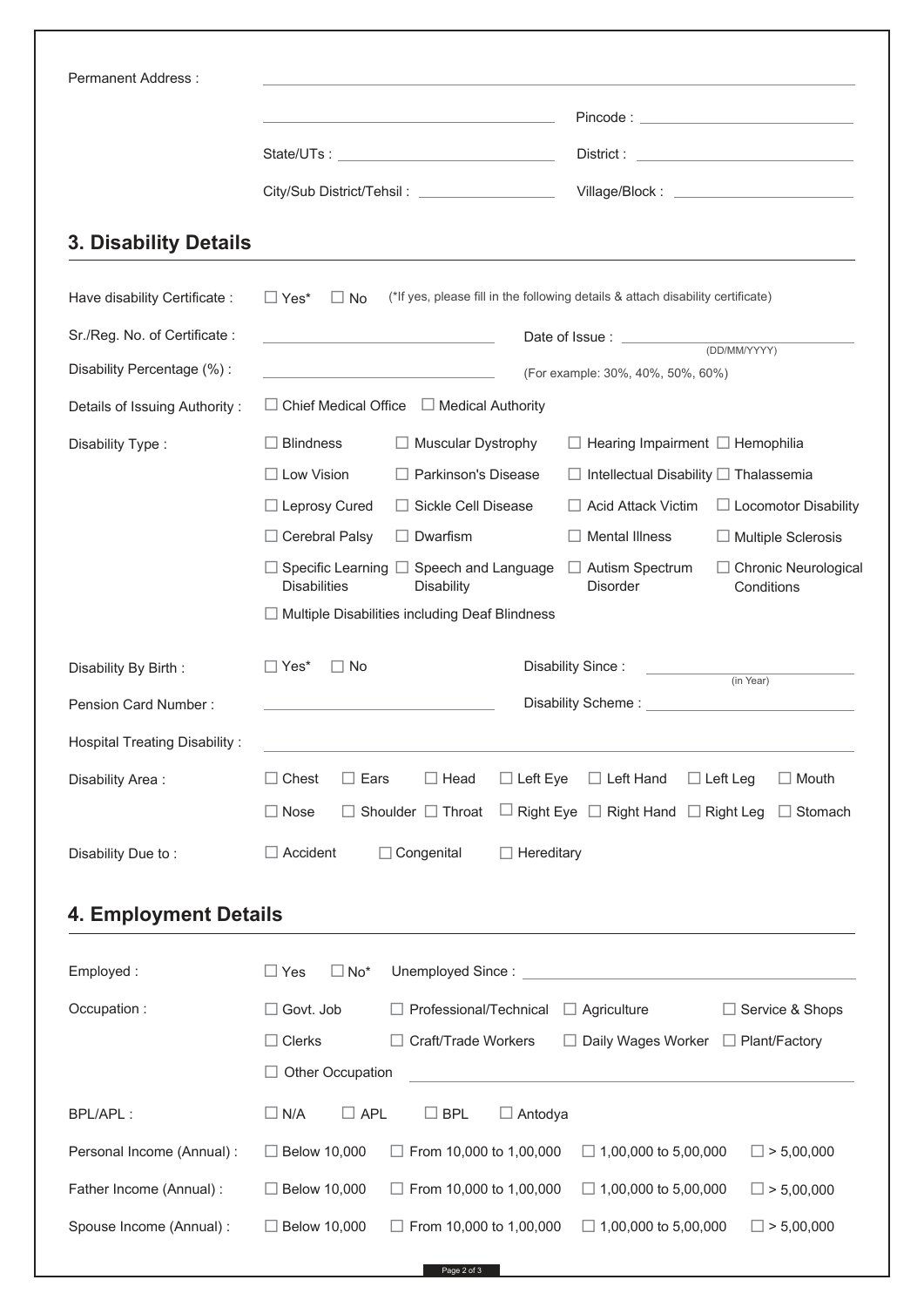| Permanent Address:            |                                                                                                 |                                                                                        |  |  |  |
|-------------------------------|-------------------------------------------------------------------------------------------------|----------------------------------------------------------------------------------------|--|--|--|
|                               | the contract of the contract of the contract of the contract of the contract of                 | Pincode : __________________________________                                           |  |  |  |
|                               |                                                                                                 | Village/Block: ___________________________                                             |  |  |  |
|                               | City/Sub District/Tehsil: ____________________                                                  |                                                                                        |  |  |  |
|                               |                                                                                                 |                                                                                        |  |  |  |
| <b>3. Disability Details</b>  |                                                                                                 |                                                                                        |  |  |  |
| Have disability Certificate : | $\Box$ Yes*<br>$\Box$ No                                                                        | (*If yes, please fill in the following details & attach disability certificate)        |  |  |  |
| Sr./Reg. No. of Certificate:  |                                                                                                 |                                                                                        |  |  |  |
| Disability Percentage (%):    |                                                                                                 | (For example: 30%, 40%, 50%, 60%)                                                      |  |  |  |
| Details of Issuing Authority: | $\Box$ Chief Medical Office $\Box$ Medical Authority                                            |                                                                                        |  |  |  |
| Disability Type:              | <b>Blindness</b><br>$\Box$ Muscular Dystrophy                                                   | $\Box$ Hearing Impairment $\Box$ Hemophilia                                            |  |  |  |
|                               | $\Box$ Low Vision<br>$\Box$ Parkinson's Disease                                                 | $\Box$ Intellectual Disability $\Box$ Thalassemia                                      |  |  |  |
|                               | $\Box$ Sickle Cell Disease<br>$\Box$ Leprosy Cured                                              | □ Acid Attack Victim<br>$\Box$ Locomotor Disability                                    |  |  |  |
|                               | $\Box$ Cerebral Palsy<br>$\Box$ Dwarfism                                                        | $\Box$ Mental Illness<br>$\Box$ Multiple Sclerosis                                     |  |  |  |
|                               | $\Box$ Specific Learning $\Box$ Speech and Language<br><b>Disabilities</b><br><b>Disability</b> | $\Box$ Autism Spectrum<br>$\Box$ Chronic Neurological<br><b>Disorder</b><br>Conditions |  |  |  |
|                               | $\Box$ Multiple Disabilities including Deaf Blindness                                           |                                                                                        |  |  |  |
| Disability By Birth:          | $\Box$ Yes*<br>$\Box$ No                                                                        | Disability Since:                                                                      |  |  |  |
|                               |                                                                                                 |                                                                                        |  |  |  |
| Pension Card Number:          |                                                                                                 | (in Year)                                                                              |  |  |  |
| Hospital Treating Disability: |                                                                                                 |                                                                                        |  |  |  |
| Disability Area:              | $\Box$ Left Eye<br>$\Box$ Chest<br>$\Box$ Ears<br>$\Box$ Head                                   | $\Box$ Left Hand<br>$\Box$ Mouth<br>$\Box$ Left Leg                                    |  |  |  |
|                               | $\Box$ Nose<br>$\Box$ Shoulder $\Box$ Throat                                                    | $\Box$ Right Eye $\Box$ Right Hand $\Box$ Right Leg<br>$\Box$ Stomach                  |  |  |  |
| Disability Due to:            | $\Box$ Accident<br>$\Box$ Congenital<br>$\Box$ Hereditary                                       |                                                                                        |  |  |  |
|                               |                                                                                                 |                                                                                        |  |  |  |
| 4. Employment Details         |                                                                                                 |                                                                                        |  |  |  |
| Employed:                     | $\Box$ Yes<br>$\Box$ No*<br>Unemployed Since:                                                   |                                                                                        |  |  |  |
| Occupation:                   | $\Box$ Govt. Job<br>□ Professional/Technical                                                    | $\Box$ Agriculture<br>$\Box$ Service & Shops                                           |  |  |  |
|                               | $\Box$ Clerks<br>Craft/Trade Workers                                                            | □ Daily Wages Worker<br>$\Box$ Plant/Factory                                           |  |  |  |
|                               | Other Occupation                                                                                |                                                                                        |  |  |  |
| <b>BPL/APL:</b>               | $\Box$ APL<br>$\square$ BPL<br>$\Box$ Antodya<br>$\Box$ N/A                                     |                                                                                        |  |  |  |
| Personal Income (Annual) :    | Below 10,000<br>$\Box$ From 10,000 to 1,00,000                                                  | □ 1,00,000 to 5,00,000<br>$\Box$ > 5,00,000                                            |  |  |  |
| Father Income (Annual) :      | Below 10,000<br>$\Box$ From 10,000 to 1,00,000<br>└                                             | □ 1,00,000 to 5,00,000<br>$\Box$ > 5,00,000                                            |  |  |  |